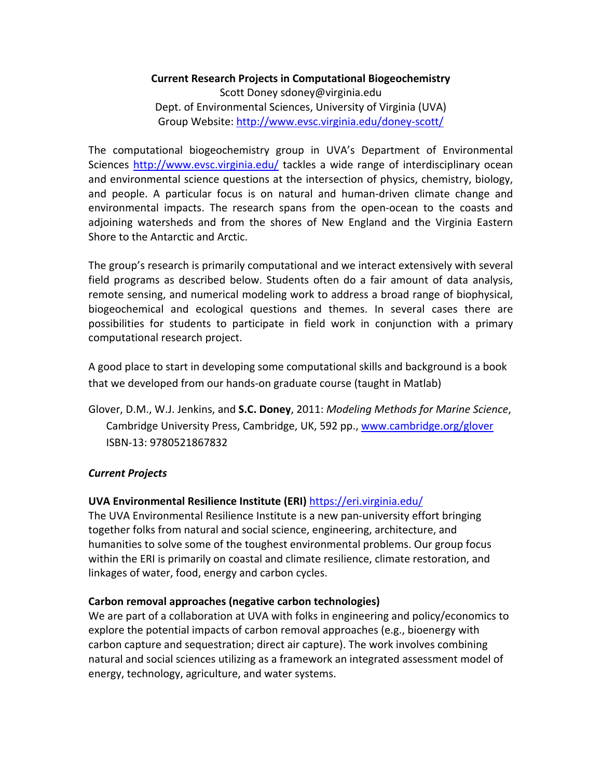### **Current Research Projects in Computational Biogeochemistry**

Scott Doney sdoney@virginia.edu Dept. of Environmental Sciences, University of Virginia (UVA) Group Website: http://www.evsc.virginia.edu/doney-scott/

The computational biogeochemistry group in UVA's Department of Environmental Sciences http://www.evsc.virginia.edu/ tackles a wide range of interdisciplinary ocean and environmental science questions at the intersection of physics, chemistry, biology, and people. A particular focus is on natural and human-driven climate change and environmental impacts. The research spans from the open-ocean to the coasts and adjoining watersheds and from the shores of New England and the Virginia Eastern Shore to the Antarctic and Arctic.

The group's research is primarily computational and we interact extensively with several field programs as described below. Students often do a fair amount of data analysis, remote sensing, and numerical modeling work to address a broad range of biophysical, biogeochemical and ecological questions and themes. In several cases there are possibilities for students to participate in field work in conjunction with a primary computational research project.

A good place to start in developing some computational skills and background is a book that we developed from our hands-on graduate course (taught in Matlab)

Glover, D.M., W.J. Jenkins, and **S.C. Doney**, 2011: *Modeling Methods for Marine Science*, Cambridge University Press, Cambridge, UK, 592 pp., www.cambridge.org/glover ISBN-13: 9780521867832

## *Current Projects*

## **UVA Environmental Resilience Institute (ERI)** https://eri.virginia.edu/

The UVA Environmental Resilience Institute is a new pan-university effort bringing together folks from natural and social science, engineering, architecture, and humanities to solve some of the toughest environmental problems. Our group focus within the ERI is primarily on coastal and climate resilience, climate restoration, and linkages of water, food, energy and carbon cycles.

### **Carbon removal approaches (negative carbon technologies)**

We are part of a collaboration at UVA with folks in engineering and policy/economics to explore the potential impacts of carbon removal approaches (e.g., bioenergy with carbon capture and sequestration; direct air capture). The work involves combining natural and social sciences utilizing as a framework an integrated assessment model of energy, technology, agriculture, and water systems.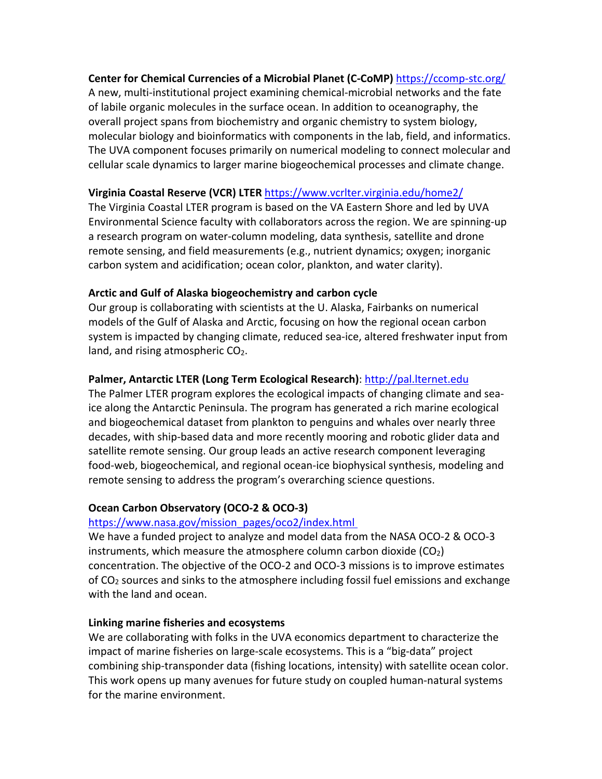### **Center for Chemical Currencies of a Microbial Planet (C-CoMP)** https://ccomp-stc.org/

A new, multi-institutional project examining chemical-microbial networks and the fate of labile organic molecules in the surface ocean. In addition to oceanography, the overall project spans from biochemistry and organic chemistry to system biology, molecular biology and bioinformatics with components in the lab, field, and informatics. The UVA component focuses primarily on numerical modeling to connect molecular and cellular scale dynamics to larger marine biogeochemical processes and climate change.

### **Virginia Coastal Reserve (VCR) LTER** https://www.vcrlter.virginia.edu/home2/

The Virginia Coastal LTER program is based on the VA Eastern Shore and led by UVA Environmental Science faculty with collaborators across the region. We are spinning-up a research program on water-column modeling, data synthesis, satellite and drone remote sensing, and field measurements (e.g., nutrient dynamics; oxygen; inorganic carbon system and acidification; ocean color, plankton, and water clarity).

### **Arctic and Gulf of Alaska biogeochemistry and carbon cycle**

Our group is collaborating with scientists at the U. Alaska, Fairbanks on numerical models of the Gulf of Alaska and Arctic, focusing on how the regional ocean carbon system is impacted by changing climate, reduced sea-ice, altered freshwater input from land, and rising atmospheric CO<sub>2</sub>.

## **Palmer, Antarctic LTER (Long Term Ecological Research)**: http://pal.lternet.edu

The Palmer LTER program explores the ecological impacts of changing climate and seaice along the Antarctic Peninsula. The program has generated a rich marine ecological and biogeochemical dataset from plankton to penguins and whales over nearly three decades, with ship-based data and more recently mooring and robotic glider data and satellite remote sensing. Our group leads an active research component leveraging food-web, biogeochemical, and regional ocean-ice biophysical synthesis, modeling and remote sensing to address the program's overarching science questions.

## **Ocean Carbon Observatory (OCO-2 & OCO-3)**

# https://www.nasa.gov/mission\_pages/oco2/index.html

We have a funded project to analyze and model data from the NASA OCO-2 & OCO-3 instruments, which measure the atmosphere column carbon dioxide  $(CO<sub>2</sub>)$ concentration. The objective of the OCO-2 and OCO-3 missions is to improve estimates of CO2 sources and sinks to the atmosphere including fossil fuel emissions and exchange with the land and ocean.

## **Linking marine fisheries and ecosystems**

We are collaborating with folks in the UVA economics department to characterize the impact of marine fisheries on large-scale ecosystems. This is a "big-data" project combining ship-transponder data (fishing locations, intensity) with satellite ocean color. This work opens up many avenues for future study on coupled human-natural systems for the marine environment.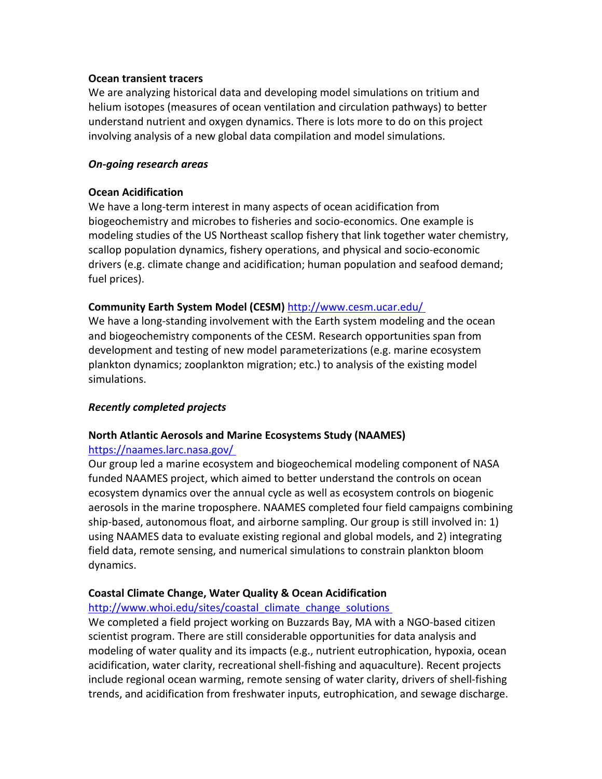#### **Ocean transient tracers**

We are analyzing historical data and developing model simulations on tritium and helium isotopes (measures of ocean ventilation and circulation pathways) to better understand nutrient and oxygen dynamics. There is lots more to do on this project involving analysis of a new global data compilation and model simulations.

#### *On-going research areas*

#### **Ocean Acidification**

We have a long-term interest in many aspects of ocean acidification from biogeochemistry and microbes to fisheries and socio-economics. One example is modeling studies of the US Northeast scallop fishery that link together water chemistry, scallop population dynamics, fishery operations, and physical and socio-economic drivers (e.g. climate change and acidification; human population and seafood demand; fuel prices).

### **Community Earth System Model (CESM)** http://www.cesm.ucar.edu/

We have a long-standing involvement with the Earth system modeling and the ocean and biogeochemistry components of the CESM. Research opportunities span from development and testing of new model parameterizations (e.g. marine ecosystem plankton dynamics; zooplankton migration; etc.) to analysis of the existing model simulations.

### *Recently completed projects*

### **North Atlantic Aerosols and Marine Ecosystems Study (NAAMES)**

#### https://naames.larc.nasa.gov/

Our group led a marine ecosystem and biogeochemical modeling component of NASA funded NAAMES project, which aimed to better understand the controls on ocean ecosystem dynamics over the annual cycle as well as ecosystem controls on biogenic aerosols in the marine troposphere. NAAMES completed four field campaigns combining ship-based, autonomous float, and airborne sampling. Our group is still involved in: 1) using NAAMES data to evaluate existing regional and global models, and 2) integrating field data, remote sensing, and numerical simulations to constrain plankton bloom dynamics.

### **Coastal Climate Change, Water Quality & Ocean Acidification**

#### http://www.whoi.edu/sites/coastal climate change solutions

We completed a field project working on Buzzards Bay, MA with a NGO-based citizen scientist program. There are still considerable opportunities for data analysis and modeling of water quality and its impacts (e.g., nutrient eutrophication, hypoxia, ocean acidification, water clarity, recreational shell-fishing and aquaculture). Recent projects include regional ocean warming, remote sensing of water clarity, drivers of shell-fishing trends, and acidification from freshwater inputs, eutrophication, and sewage discharge.